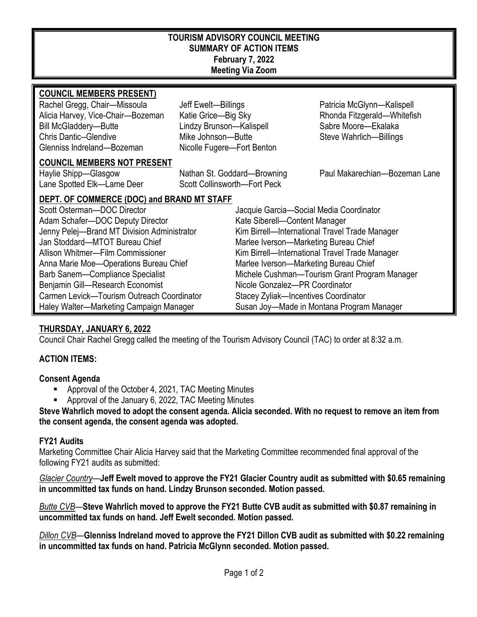## **TOURISM ADVISORY COUNCIL MEETING SUMMARY OF ACTION ITEMS February 7, 2022 Meeting Via Zoom**

| <b>COUNCIL MEMBERS PRESENT)</b>             |                                         |                                                |  |
|---------------------------------------------|-----------------------------------------|------------------------------------------------|--|
| Rachel Gregg, Chair-Missoula                | Jeff Ewelt-Billings                     | Patricia McGlynn-Kalispell                     |  |
| Alicia Harvey, Vice-Chair-Bozeman           | Katie Grice-Big Sky                     | Rhonda Fitzgerald-Whitefish                    |  |
| <b>Bill McGladdery-Butte</b>                | Lindzy Brunson-Kalispell                | Sabre Moore-Ekalaka                            |  |
| <b>Chris Dantic--Glendive</b>               | Mike Johnson-Butte                      | Steve Wahrlich-Billings                        |  |
| Glenniss Indreland-Bozeman                  | Nicolle Fugere-Fort Benton              |                                                |  |
| <b>COUNCIL MEMBERS NOT PRESENT</b>          |                                         |                                                |  |
| Haylie Shipp-Glasgow                        | Nathan St. Goddard-Browning             | Paul Makarechian-Bozeman Lane                  |  |
| Lane Spotted Elk-Lame Deer                  | Scott Collinsworth-Fort Peck            |                                                |  |
| DEPT. OF COMMERCE (DOC) and BRAND MT STAFF  |                                         |                                                |  |
| Scott Osterman-DOC Director                 | Jacquie Garcia-Social Media Coordinator |                                                |  |
| Adam Schafer-DOC Deputy Director            | Kate Siberell-Content Manager           |                                                |  |
| Jenny Pelej-Brand MT Division Administrator |                                         | Kim Birrell-International Travel Trade Manager |  |
| Jan Stoddard-MTOT Bureau Chief              |                                         | Marlee Iverson-Marketing Bureau Chief          |  |
| Allison Whitmer-Film Commissioner           |                                         | Kim Birrell-International Travel Trade Manager |  |
| Anna Marie Moe-Operations Bureau Chief      |                                         | Marlee Iverson-Marketing Bureau Chief          |  |
| Barb Sanem-Compliance Specialist            |                                         | Michele Cushman-Tourism Grant Program Manager  |  |
| Benjamin Gill-Research Economist            |                                         | Nicole Gonzalez-PR Coordinator                 |  |
| Carmen Levick—Tourism Outreach Coordinator  |                                         | <b>Stacey Zyliak-Incentives Coordinator</b>    |  |
| Haley Walter-Marketing Campaign Manager     |                                         | Susan Joy—Made in Montana Program Manager      |  |

# **THURSDAY, JANUARY 6, 2022**

Council Chair Rachel Gregg called the meeting of the Tourism Advisory Council (TAC) to order at 8:32 a.m.

# **ACTION ITEMS:**

### **Consent Agenda**

- Approval of the October 4, 2021, TAC Meeting Minutes
- Approval of the January 6, 2022, TAC Meeting Minutes

**Steve Wahrlich moved to adopt the consent agenda. Alicia seconded. With no request to remove an item from the consent agenda, the consent agenda was adopted.**

### **FY21 Audits**

Marketing Committee Chair Alicia Harvey said that the Marketing Committee recommended final approval of the following FY21 audits as submitted:

*Glacier Country*—**Jeff Ewelt moved to approve the FY21 Glacier Country audit as submitted with \$0.65 remaining in uncommitted tax funds on hand. Lindzy Brunson seconded. Motion passed.** 

*Butte CVB*—**Steve Wahrlich moved to approve the FY21 Butte CVB audit as submitted with \$0.87 remaining in uncommitted tax funds on hand. Jeff Ewelt seconded. Motion passed.** 

*Dillon CVB*—**Glenniss Indreland moved to approve the FY21 Dillon CVB audit as submitted with \$0.22 remaining in uncommitted tax funds on hand. Patricia McGlynn seconded. Motion passed.**